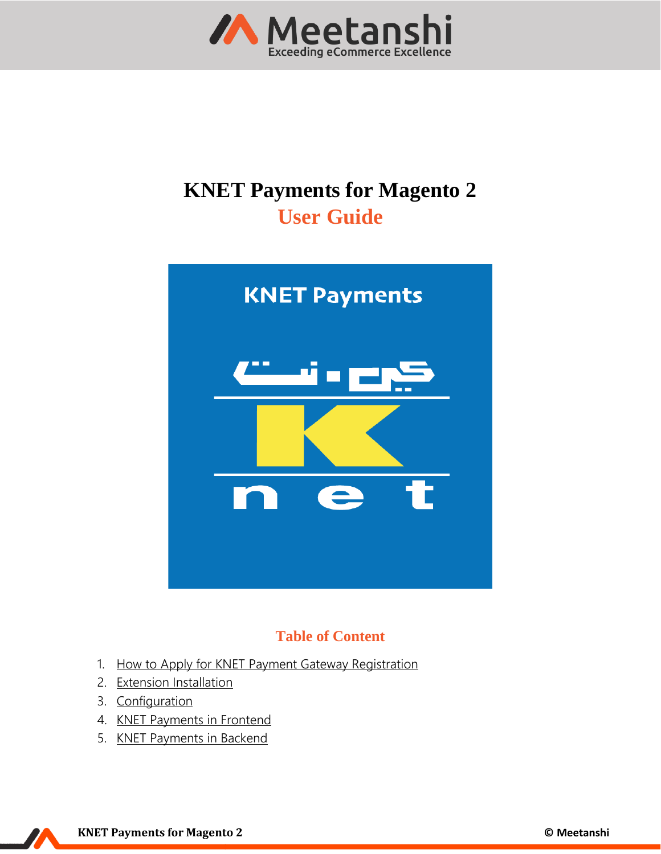

# **KNET Payments for Magento 2 User Guide**



# **Table of Content**

- 1. [How to Apply for KNET Payment Gateway Registration](#page-1-0)
- 2. [Extension Installation](#page-1-1)
- 3. [Configuration](#page-2-0)
- 4. [KNET Payments](#page-3-0) in Frontend
- 5. [KNET Payments](#page-8-0) in Backend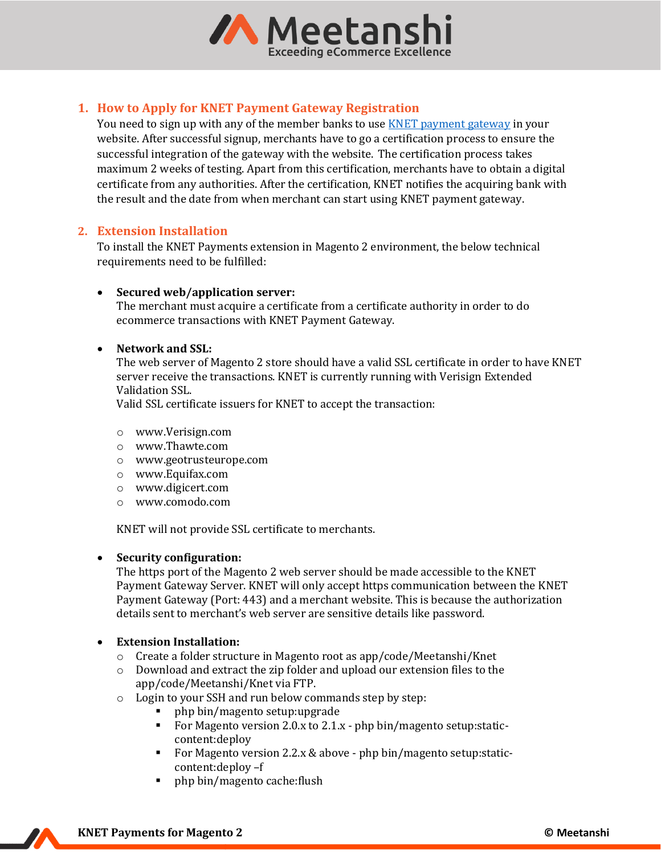

# <span id="page-1-0"></span>**1. How to Apply for KNET Payment Gateway Registration**

You need to sign up with any of the member banks to use **KNET** [payment gateway](https://www.knet.com.kw/services/payment-gateway/) in your website. After successful signup, merchants have to go a certification process to ensure the successful integration of the gateway with the website. The certification process takes maximum 2 weeks of testing. Apart from this certification, merchants have to obtain a digital certificate from any authorities. After the certification, KNET notifies the acquiring bank with the result and the date from when merchant can start using KNET payment gateway.

#### <span id="page-1-1"></span>**2. Extension Installation**

To install the KNET Payments extension in Magento 2 environment, the below technical requirements need to be fulfilled:

#### • **Secured web/application server:**

The merchant must acquire a certificate from a certificate authority in order to do ecommerce transactions with KNET Payment Gateway.

#### • **Network and SSL:**

The web server of Magento 2 store should have a valid SSL certificate in order to have KNET server receive the transactions. KNET is currently running with Verisign Extended Validation SSL.

Valid SSL certificate issuers for KNET to accept the transaction:

- o www.Verisign.com
- o www.Thawte.com
- o www.geotrusteurope.com
- o www.Equifax.com
- o www.digicert.com
- o [www.comodo.com](http://www.comodo.com/)

KNET will not provide SSL certificate to merchants.

#### • **Security configuration:**

The https port of the Magento 2 web server should be made accessible to the KNET Payment Gateway Server. KNET will only accept https communication between the KNET Payment Gateway (Port: 443) and a merchant website. This is because the authorization details sent to merchant's web server are sensitive details like password.

#### • **Extension Installation:**

- $\circ$  Create a folder structure in Magento root as app/code/Meetanshi/Knet
- o Download and extract the zip folder and upload our extension files to the app/code/Meetanshi/Knet via FTP.
- o Login to your SSH and run below commands step by step:
	- php bin/magento setup:upgrade
	- **•** For Magento version 2.0.x to 2.1.x php bin/magento setup: staticcontent:deploy
	- For Magento version 2.2.x & above php bin/magento setup: staticcontent:deploy –f
	- php bin/magento cache:flush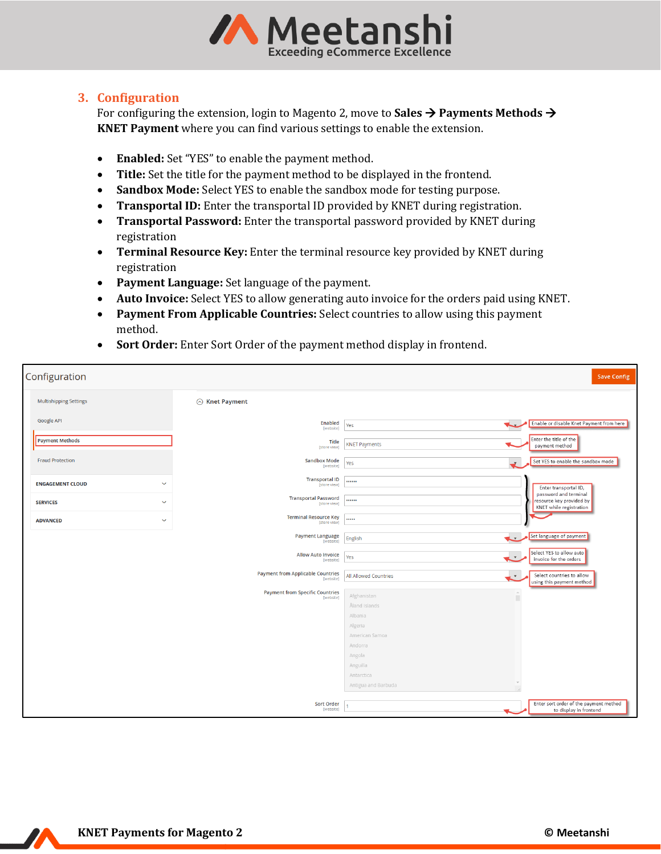

## <span id="page-2-0"></span>**3. Configuration**

For configuring the extension, login to Magento 2, move to **Sales** → **Payments Methods** → **KNET Payment** where you can find various settings to enable the extension.

- **Enabled:** Set "YES" to enable the payment method.
- **Title:** Set the title for the payment method to be displayed in the frontend.
- **Sandbox Mode:** Select YES to enable the sandbox mode for testing purpose.
- **Transportal ID:** Enter the transportal ID provided by KNET during registration.
- **Transportal Password:** Enter the transportal password provided by KNET during registration
- **Terminal Resource Key:** Enter the terminal resource key provided by KNET during registration
- **Payment Language:** Set language of the payment.
- **Auto Invoice:** Select YES to allow generating auto invoice for the orders paid using KNET.
- **Payment From Applicable Countries:** Select countries to allow using this payment method.
- **Sort Order:** Enter Sort Order of the payment method display in frontend.

| Configuration                           |                                                       |                                                               | <b>Save Config</b>                                                           |
|-----------------------------------------|-------------------------------------------------------|---------------------------------------------------------------|------------------------------------------------------------------------------|
| <b>Multishipping Settings</b>           | ◯ Knet Payment                                        |                                                               |                                                                              |
| Google API                              | <b>Enabled</b><br>[website]                           | Yes                                                           | Enable or disable Knet Payment from here                                     |
| <b>Payment Methods</b>                  | Title<br>[store view]                                 | <b>KNET Payments</b>                                          | Enter the title of the<br>payment method                                     |
| <b>Fraud Protection</b>                 | <b>Sandbox Mode</b><br>[website]                      | Yes                                                           | Set YES to enable the sandbox mode                                           |
| $\checkmark$<br><b>ENGAGEMENT CLOUD</b> | Transportal ID<br>[store view]                        |                                                               | Enter transportal ID,                                                        |
| <b>SERVICES</b><br>$\checkmark$         | <b>Transportal Password</b><br>[store view]           |                                                               | password and terminal<br>resource key provided by<br>KNET while registration |
| <b>ADVANCED</b><br>$\checkmark$         | <b>Terminal Resource Key</b><br>[store view]          |                                                               |                                                                              |
|                                         | Payment Language<br>[website]                         | English<br>L.                                                 | Set language of payment                                                      |
|                                         | <b>Allow Auto Invoice</b><br>[website]                | Yes<br>e w                                                    | Select YES to allow auto<br>invoice for the orders                           |
|                                         | <b>Payment from Applicable Countries</b><br>[website] | All Allowed Countries<br>$\mathbf{v}$                         | Select countries to allow<br>using this payment method                       |
|                                         | <b>Payment from Specific Countries</b><br>[website]   | $\mathcal{A}$<br>Afghanistan<br>П<br>Åland Islands<br>Albania |                                                                              |
|                                         |                                                       | Algeria                                                       |                                                                              |
|                                         |                                                       | American Samoa<br>Andorra                                     |                                                                              |
|                                         |                                                       | Angola                                                        |                                                                              |
|                                         |                                                       | Anguilla<br>Antarctica                                        |                                                                              |
|                                         |                                                       | Antigua and Barbuda                                           |                                                                              |
|                                         | Sort Order<br>[website]                               |                                                               | Enter sort order of the payment method<br>to display in frontend             |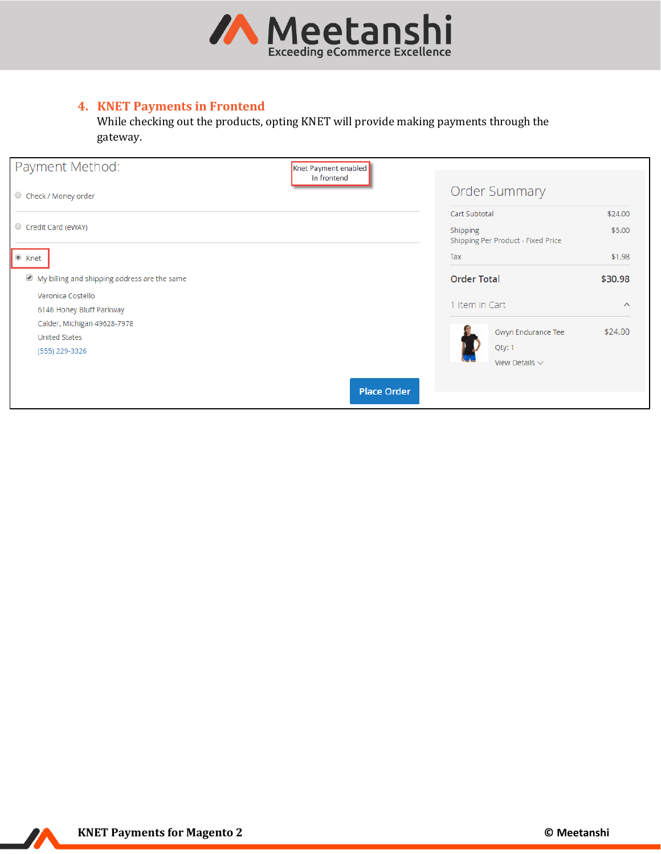

# <span id="page-3-0"></span>**4. KNET Payments in Frontend**

While checking out the products, opting KNET will provide making payments through the gateway.

| Payment Method:                              | Knet Payment enabled<br>in frontend            |         |
|----------------------------------------------|------------------------------------------------|---------|
| C Check / Money order                        | <b>Order Summary</b>                           |         |
|                                              | Cart Subtotal                                  | \$24.00 |
| Credit Card (eWAY)                           | Shipping<br>Shipping Per Product - Fixed Price | \$5.00  |
| $\bullet$ Knet                               | Tax                                            | \$1.98  |
| My billing and shipping address are the same | <b>Order Total</b>                             | \$30.98 |
| Veronica Costello                            |                                                |         |
| 6146 Honey Bluff Parkway                     | 1 Item in Cart                                 | $\sim$  |
| Calder, Michigan 49628-7978                  |                                                | \$24.00 |
| <b>United States</b>                         | Gwyn Endurance Tee                             |         |
| (555) 229-3326                               | Qty: 1                                         |         |
|                                              | View Details $\sim$                            |         |
|                                              | <b>Place Order</b>                             |         |

 $\boldsymbol{Z}$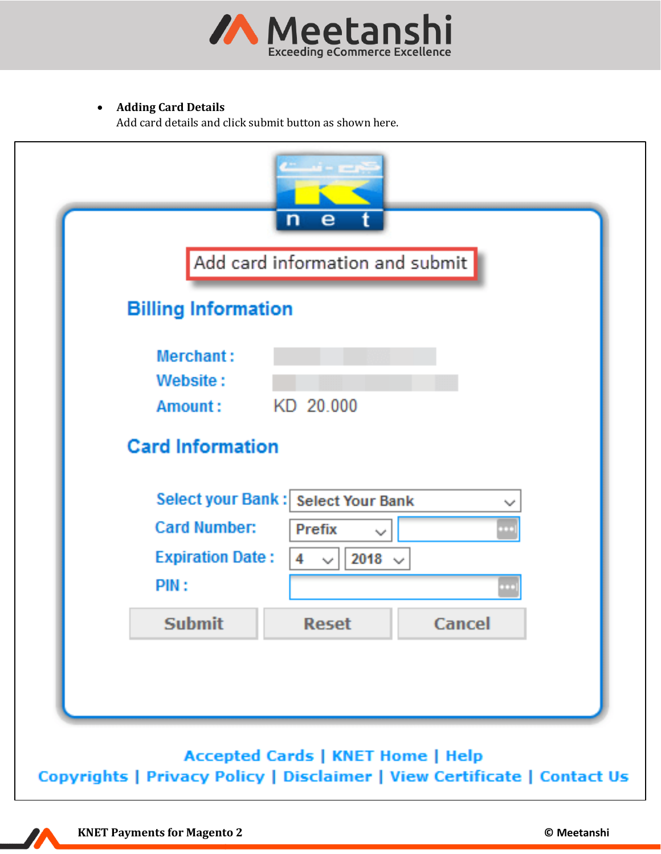

# • **Adding Card Details**

Add card details and click submit button as shown here.

|                            | Add card information and submit        |        |
|----------------------------|----------------------------------------|--------|
| <b>Billing Information</b> |                                        |        |
| Merchant:                  |                                        |        |
| Website:                   |                                        |        |
| Amount:                    | KD 20.000                              |        |
| <b>Card Information</b>    |                                        |        |
|                            | Select your Bank: Select Your Bank     | المردا |
| <b>Card Number:</b>        | <b>Prefix</b><br>المحاربة              | ia i   |
| <b>Expiration Date:</b>    | 4<br>2018 $\sim$<br>$\gamma_{\rm tot}$ |        |
| PIN:                       |                                        | o po   |
| <b>Submit</b>              | <b>Reset</b>                           | Cancel |
|                            |                                        |        |

**KNET Payments for Magento 2 © Meetanshi**

77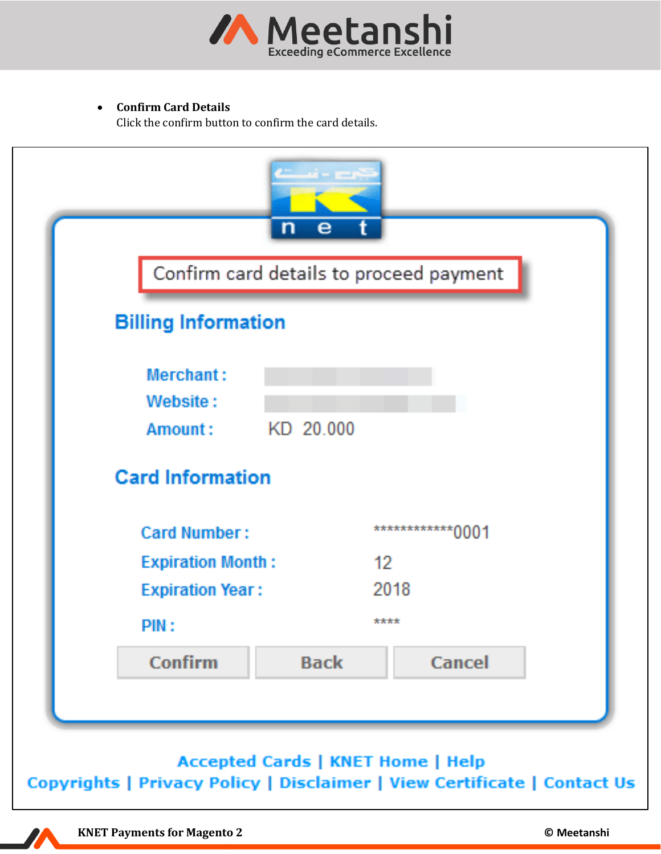

# • **Confirm Card Details**

Click the confirm button to confirm the card details.



**Accepted Cards | KNET Home | Help** Copyrights | Privacy Policy | Disclaimer | View Certificate | Contact Us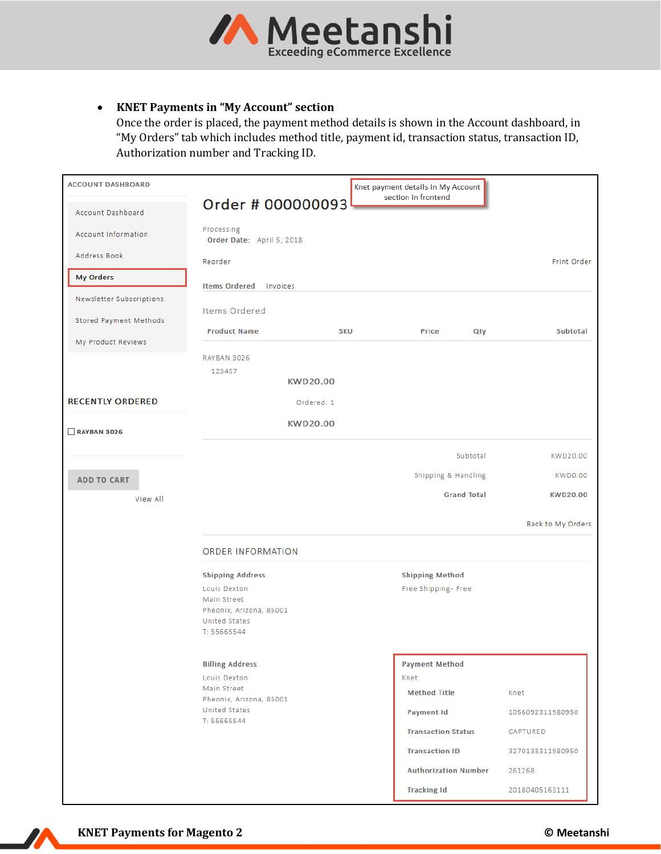

### • **KNET Payments in "My Account" section**

Once the order is placed, the payment method details is shown in the Account dashboard, in "My Orders" tab which includes method title, payment id, transaction status, transaction ID, Authorization number and Tracking ID.

| <b>ACCOUNT DASHBOARD</b>                     |                                                                                                                          |            | Knet payment details in My Account                                        |                            |
|----------------------------------------------|--------------------------------------------------------------------------------------------------------------------------|------------|---------------------------------------------------------------------------|----------------------------|
| Account Dashboard                            | Order # 000000093                                                                                                        |            | section in frontend                                                       |                            |
| <b>Account Information</b>                   | Processing<br>Order Date: April 5, 2018                                                                                  |            |                                                                           |                            |
| Address Book                                 | Reorder                                                                                                                  |            |                                                                           | Print Order                |
| <b>My Orders</b>                             | <b>Items Ordered</b><br>Invoices                                                                                         |            |                                                                           |                            |
| Newsletter Subscriptions                     | <b>Items Ordered</b>                                                                                                     |            |                                                                           |                            |
| Stored Payment Methods<br>My Product Reviews | <b>Product Name</b>                                                                                                      | <b>SKU</b> | Price<br>Qty                                                              | Subtotal                   |
|                                              | RAYBAN 3026<br>123457<br><b>KWD20.00</b>                                                                                 |            |                                                                           |                            |
| <b>RECENTLY ORDERED</b>                      | Ordered: 1                                                                                                               |            |                                                                           |                            |
| RAYBAN 3026                                  | <b>KWD20.00</b>                                                                                                          |            |                                                                           |                            |
|                                              |                                                                                                                          |            |                                                                           |                            |
|                                              |                                                                                                                          |            | Subtotal                                                                  | KWD20.00                   |
| <b>ADD TO CART</b>                           |                                                                                                                          |            | Shipping & Handling                                                       | KWD0.00                    |
| View All                                     |                                                                                                                          |            | <b>Grand Total</b>                                                        | <b>KWD20.00</b>            |
|                                              |                                                                                                                          |            |                                                                           | Back to My Orders          |
|                                              | <b>ORDER INFORMATION</b>                                                                                                 |            |                                                                           |                            |
|                                              | <b>Shipping Address</b><br>Louis Dexton<br>Main Street<br>Pheonix, Arizona, 85001<br><b>United States</b><br>T: 55665544 |            | <b>Shipping Method</b><br>Free Shipping - Free                            |                            |
|                                              | <b>Billing Address</b><br>Louis Dexton<br>Main Street<br>Pheonix, Arizona, 85001<br><b>United States</b><br>T: 55665544  |            | <b>Payment Method</b><br>Knet<br><b>Method Title</b><br><b>Payment Id</b> | Knet<br>1056092311980950   |
|                                              |                                                                                                                          |            | <b>Transaction Status</b>                                                 | CAPTURED                   |
|                                              |                                                                                                                          |            | <b>Transaction ID</b><br><b>Authorization Number</b>                      | 3270133311980950<br>261268 |
|                                              |                                                                                                                          |            | <b>Tracking Id</b>                                                        | 20180405163111             |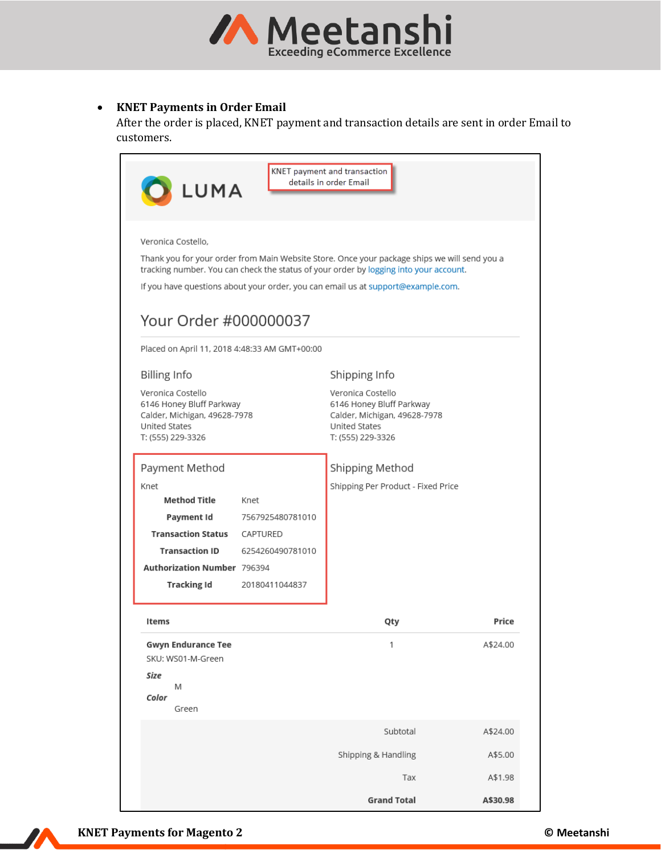

### • **KNET Payments in Order Email**

After the order is placed, KNET payment and transaction details are sent in order Email to customers.

| KNET payment and transaction<br>details in order Email<br>LUMA                                                                                                                                                                                                                                                                                                                                                    |                                                          |                     |                              |  |  |  |  |
|-------------------------------------------------------------------------------------------------------------------------------------------------------------------------------------------------------------------------------------------------------------------------------------------------------------------------------------------------------------------------------------------------------------------|----------------------------------------------------------|---------------------|------------------------------|--|--|--|--|
| Veronica Costello,<br>Thank you for your order from Main Website Store. Once your package ships we will send you a<br>tracking number. You can check the status of your order by logging into your account.<br>If you have questions about your order, you can email us at support@example.com.<br>Your Order #000000037<br>Placed on April 11, 2018 4:48:33 AM GMT+00:00<br><b>Billing Info</b><br>Shipping Info |                                                          |                     |                              |  |  |  |  |
| Veronica Costello<br>United States<br>T: (555) 229-3326                                                                                                                                                                                                                                                                                                                                                           | 6146 Honey Bluff Parkway<br>Calder, Michigan, 49628-7978 |                     | Calder, Michigan, 49628-7978 |  |  |  |  |
| Payment Method<br>Shipping Method<br>Shipping Per Product - Fixed Price<br>Knet<br><b>Method Title</b><br>Knet<br>Payment Id<br>7567925480781010<br>Transaction Status<br>CAPTURED<br><b>Transaction ID</b><br>6254260490781010<br><b>Authorization Number 796394</b><br><b>Tracking Id</b><br>20180411044837                                                                                                     |                                                          |                     |                              |  |  |  |  |
| Items                                                                                                                                                                                                                                                                                                                                                                                                             |                                                          | Qty                 | Price                        |  |  |  |  |
| <b>Gwyn Endurance Tee</b><br>SKU: WS01-M-Green<br>Size<br>Μ<br>Color<br>Green                                                                                                                                                                                                                                                                                                                                     |                                                          | 1                   | A\$24.00                     |  |  |  |  |
|                                                                                                                                                                                                                                                                                                                                                                                                                   |                                                          | Subtotal            | A\$24.00                     |  |  |  |  |
|                                                                                                                                                                                                                                                                                                                                                                                                                   |                                                          | Shipping & Handling | A\$5.00                      |  |  |  |  |
|                                                                                                                                                                                                                                                                                                                                                                                                                   |                                                          | Tax                 | A\$1.98                      |  |  |  |  |
|                                                                                                                                                                                                                                                                                                                                                                                                                   |                                                          | <b>Grand Total</b>  | A\$30.98                     |  |  |  |  |



77